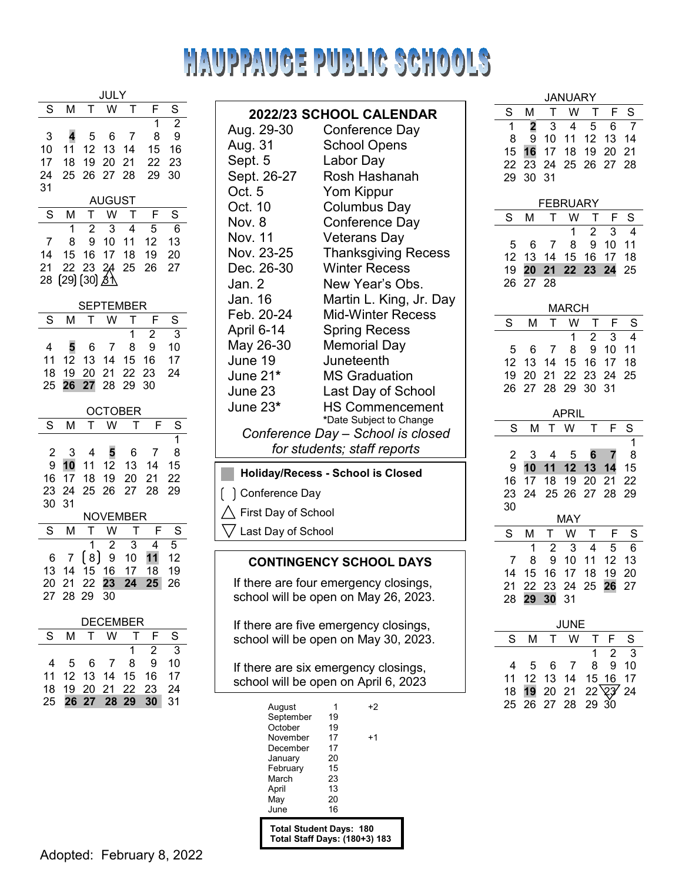# HAUPPAUGE PUBLIC SCHOOLS

| Jl<br>Jl                  |                            |                                                        |                                       |                          |                                       |                          |  |
|---------------------------|----------------------------|--------------------------------------------------------|---------------------------------------|--------------------------|---------------------------------------|--------------------------|--|
| S                         | М                          | T                                                      |                                       | I                        | F                                     | S                        |  |
| 3<br>10<br>17<br>24<br>31 | 4<br>11<br>18<br>25        | 5<br>12<br>19<br>26                                    | 6<br>13<br>20<br>27                   | 7<br>14<br>21<br>28      | 1<br>8<br>15<br>22<br>29              | 2<br>9<br>16<br>23<br>30 |  |
|                           |                            |                                                        | <b>AUGUST</b>                         |                          |                                       |                          |  |
| S                         | М                          | T                                                      | W                                     | Т                        | F                                     | S                        |  |
| 7<br>14<br>21<br>28       | 1<br>8<br>15<br>22         | $\overline{2}$<br>9<br>16<br>23<br>(29) (30) <u>ゟ\</u> | 3<br>10<br>17<br>24                   | 4<br>11<br>18<br>25      | 5<br>12<br>19<br>26                   | 6<br>13<br>20<br>27      |  |
|                           |                            |                                                        | TEMBE                                 |                          | ΞR                                    |                          |  |
| S                         | м                          |                                                        | w                                     | Ī                        | F                                     | S                        |  |
| 4<br>11<br>18<br>25       | 5<br>12<br>19<br>26        | 6<br>13<br>20<br>27                                    | 7<br>14<br>21<br>28                   | 1<br>8<br>15<br>22<br>29 | $\overline{c}$<br>9<br>16<br>23<br>30 | 3<br>10<br>17<br>24      |  |
|                           |                            |                                                        | TOBI                                  | ΕR                       |                                       |                          |  |
| S                         | M                          | Г                                                      | W                                     |                          |                                       | S                        |  |
| 2<br>9<br>16<br>23<br>30  | 3<br>10<br>17<br>24<br>31  | 4<br>11<br>18<br>25                                    | 5<br>12<br>19<br>26                   | 6<br>13<br>20<br>27      | 7<br>14<br>21<br>28                   | 1<br>8<br>15<br>22<br>29 |  |
| S                         |                            | NC                                                     | /EMBE<br>W                            | т                        | :R<br>F                               | S                        |  |
| 6<br>13<br>20<br>27       | М<br>7<br>14<br>21<br>28   | Г<br>1<br>[ 8 ]<br>15<br>22<br>29                      | $\overline{c}$<br>9<br>16<br>23<br>30 | 3<br>10<br>17<br>24      | 4<br>11<br>18<br>25                   | 5.<br>12<br>19<br>26     |  |
| <b>DECEMBER</b>           |                            |                                                        |                                       |                          |                                       |                          |  |
| S                         | M                          | Г                                                      | W                                     | T                        | F                                     | S                        |  |
| 4<br>11<br>18             | 5<br>12 <sub>2</sub><br>19 | 6<br>13 <sup>13</sup><br>20                            | 7<br>14<br>21                         | 1<br>8<br>15<br>22       | $\overline{c}$<br>9<br>16<br>23       | 3<br>10<br>17<br>24      |  |

I

| 2022/23 SCHOOL CALENDAR                  |                                   |  |  |  |  |  |
|------------------------------------------|-----------------------------------|--|--|--|--|--|
| Aug. 29-30                               | Conference Day                    |  |  |  |  |  |
| Aug. 31                                  | <b>School Opens</b>               |  |  |  |  |  |
| Sept. 5                                  | Labor Day                         |  |  |  |  |  |
| Sept. 26-27                              | Rosh Hashanah                     |  |  |  |  |  |
| Oct. $5$                                 | Yom Kippur                        |  |  |  |  |  |
| Oct. 10                                  | Columbus Day                      |  |  |  |  |  |
| Nov. 8                                   | Conference Day                    |  |  |  |  |  |
| Nov. 11                                  | Veterans Day                      |  |  |  |  |  |
| Nov. 23-25                               | <b>Thanksgiving Recess</b>        |  |  |  |  |  |
| Dec. 26-30                               | <b>Winter Recess</b>              |  |  |  |  |  |
| Jan. 2                                   | New Year's Obs.                   |  |  |  |  |  |
| Jan. 16                                  | Martin L. King, Jr. Day           |  |  |  |  |  |
| Feb. 20-24                               | <b>Mid-Winter Recess</b>          |  |  |  |  |  |
| April 6-14                               | <b>Spring Recess</b>              |  |  |  |  |  |
| May 26-30                                | <b>Memorial Day</b>               |  |  |  |  |  |
| June 19                                  | Juneteenth                        |  |  |  |  |  |
| June 21*                                 | <b>MS Graduation</b>              |  |  |  |  |  |
| June 23                                  | Last Day of School                |  |  |  |  |  |
| June 23*                                 | <b>HS Commencement</b>            |  |  |  |  |  |
|                                          | *Date Subject to Change           |  |  |  |  |  |
|                                          | Conference Day – School is closed |  |  |  |  |  |
| for students; staff reports              |                                   |  |  |  |  |  |
| <b>Holiday/Recess - School is Closed</b> |                                   |  |  |  |  |  |
| Conference Day                           |                                   |  |  |  |  |  |
| First Day of School                      |                                   |  |  |  |  |  |
| Last Day of School                       |                                   |  |  |  |  |  |
|                                          |                                   |  |  |  |  |  |

#### **CONTINGENCY SCHOOL DAYS**

If there are four emergency closings, school will be open on May 26, 2023.

If there are five emergency closings, school will be open on May 30, 2023.

If there are six emergency closings, school will be open on April 6, 2023

| August                            |    | +2 |  |  |  |
|-----------------------------------|----|----|--|--|--|
| September                         | 19 |    |  |  |  |
| October                           | 19 |    |  |  |  |
| November                          | 17 | +1 |  |  |  |
| December                          | 17 |    |  |  |  |
| January                           | 20 |    |  |  |  |
| February                          | 15 |    |  |  |  |
| March                             | 23 |    |  |  |  |
| April                             | 13 |    |  |  |  |
| May                               | 20 |    |  |  |  |
| June                              | 16 |    |  |  |  |
| <b>Total Student Days:</b><br>180 |    |    |  |  |  |

**Total Student Days: 180 Total Staff Days: (180+3) 183**

| 29             | 30 31           |                |       |                         |    |        |  |  |  |  |  |
|----------------|-----------------|----------------|-------|-------------------------|----|--------|--|--|--|--|--|
| <b>EBRUARY</b> |                 |                |       |                         |    |        |  |  |  |  |  |
| S              | М               | T              | W     | Т                       | F  | S      |  |  |  |  |  |
|                |                 |                | 1     | $\overline{c}$          | 3  | 4      |  |  |  |  |  |
| 5              | 6               | 7              | 8     | 9                       | 10 | 11     |  |  |  |  |  |
| 12             | 13              | 14             | 15    | 16                      | 17 | 18     |  |  |  |  |  |
| 19             | 20 <sub>2</sub> | 21             | 22    | 23                      | 24 | 25     |  |  |  |  |  |
| 26             | 27              | 28             |       |                         |    |        |  |  |  |  |  |
|                | <b>MARCH</b>    |                |       |                         |    |        |  |  |  |  |  |
| S              | М               | Т              | W     | Т                       | F  | S      |  |  |  |  |  |
|                |                 |                | 1     | $\overline{\mathbf{c}}$ | 3  | 4      |  |  |  |  |  |
| 5              | 6               | 7              | 8     | 9                       | 10 | 11     |  |  |  |  |  |
| 12             | 13              | 14             | 15    | 16                      | 17 | 18     |  |  |  |  |  |
| 19             | 20              | 21             | 22    | 23                      | 24 | 25     |  |  |  |  |  |
| 26             | 27              | 28             | 29    | 30                      | 31 |        |  |  |  |  |  |
|                |                 |                |       |                         |    |        |  |  |  |  |  |
|                |                 |                | APRIL |                         |    |        |  |  |  |  |  |
| S              | Μ               | т              | W     | Г                       | F  | S      |  |  |  |  |  |
| $\overline{c}$ | 3               | 4              | 5     | 6                       | 7  | 1<br>8 |  |  |  |  |  |
| 9              | 10              | 11             | 12    | 13                      | 14 | 15     |  |  |  |  |  |
| 16             | 17              | 18             | 19    | 20                      | 21 | 22     |  |  |  |  |  |
| 23             | 24              | 25             | 26    | 27                      | 28 | 29     |  |  |  |  |  |
| 30             |                 |                |       |                         |    |        |  |  |  |  |  |
|                |                 |                | MAY   |                         |    |        |  |  |  |  |  |
| S              | М               | Т              | W     | Т                       | F  | S      |  |  |  |  |  |
|                | 1               | $\overline{c}$ | 3     | 4                       | 5  | 6      |  |  |  |  |  |
| 7              | 8               | 9              | 10    | 11                      | 12 | 13     |  |  |  |  |  |
| 14             | 15              | 16             | 17    | 18                      | 19 | 20     |  |  |  |  |  |
| 21             | 22              | 23             | 24    | 25                      | 26 | 27     |  |  |  |  |  |
| 28             | 29              | 30             | 31    |                         |    |        |  |  |  |  |  |

**JANUARY** S M T W T F S<br>1 2 3 4 5 6 7 **2** 3 4 5 6 7 9 10 11 12 13 14 **16** 17 18 19 20 21 23 24 25 26 27 28

| JUNE |   |  |                                                                 |  |             |   |  |
|------|---|--|-----------------------------------------------------------------|--|-------------|---|--|
| S.   | м |  | T W T F                                                         |  |             | S |  |
|      |   |  |                                                                 |  | $1 \t2 \t3$ |   |  |
| 4    |   |  | 5 6 7 8 9 10                                                    |  |             |   |  |
|      |   |  | 11 12 13 14 15 16 17                                            |  |             |   |  |
|      |   |  | $18$ <b>19</b> 20 21 22 $\overline{23}$ 24<br>25 26 27 28 29 30 |  |             |   |  |
|      |   |  |                                                                 |  |             |   |  |